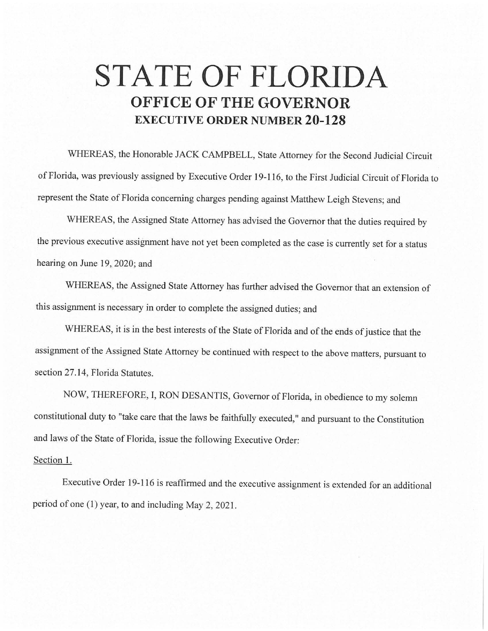## **STATE OF FLORIDA OFFICE OF THE GOVERNOR EXECUTIVE ORDER NUMBER 20-128**

WHEREAS, the Honorable JACK CAMPBELL, State Attorney for the Second Judicial Circuit of Florida, was previously assigned by Executive Order 19-116, to the First Judicial Circuit of Florida to represent the State of Florida concerning charges pending against Matthew Leigh Stevens; and

WHEREAS, the Assigned State Attorney has advised the Governor that the duties required by the previous executive assignment have not yet been completed as the case is currently set for a status hearing on June 19, 2020; and

WHEREAS, the Assigned State Attorney has further advised the Governor that an extension of this assignment is necessary in order to complete the assigned duties; and

WHEREAS, it is in the best interests of the State of Florida and of the ends of justice that the assignment of the Assigned State Attorney be continued with respect to the above matters, pursuant to section 27.14, Florida Statutes.

NOW, THEREFORE, I, RON DESANTIS, Governor of Florida, in obedience to my solemn constitutional duty to "take care that the laws be faithfully executed," and pursuant to the Constitution and laws of the State of Florida, issue the following Executive Order:

## Section 1.

Executive Order 19-116 is reaffirmed and the executive assignment is extended for an additional period of one (1) year, to and including May 2, 2021.